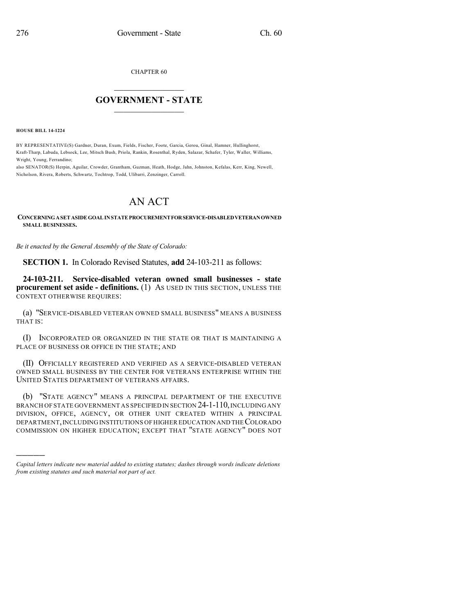CHAPTER 60

## $\overline{\phantom{a}}$  . The set of the set of the set of the set of the set of the set of the set of the set of the set of the set of the set of the set of the set of the set of the set of the set of the set of the set of the set o **GOVERNMENT - STATE**  $\_$

**HOUSE BILL 14-1224**

)))))

BY REPRESENTATIVE(S) Gardner, Duran, Exum, Fields, Fischer, Foote, Garcia, Gerou, Ginal, Hamner, Hullinghorst, Kraft-Tharp, Labuda, Lebsock, Lee, Mitsch Bush, Priola, Rankin, Rosenthal, Ryden, Salazar, Schafer, Tyler, Waller, Williams, Wright, Young, Ferrandino;

also SENATOR(S) Herpin, Aguilar, Crowder, Grantham, Guzman, Heath, Hodge, Jahn, Johnston, Kefalas, Kerr, King, Newell, Nicholson, Rivera, Roberts, Schwartz, Tochtrop, Todd, Ulibarri, Zenzinger, Carroll.

## AN ACT

**CONCERNINGASETASIDEGOALINSTATEPROCUREMENTFORSERVICE-DISABLEDVETERANOWNED SMALL BUSINESSES.**

*Be it enacted by the General Assembly of the State of Colorado:*

**SECTION 1.** In Colorado Revised Statutes, **add** 24-103-211 as follows:

**24-103-211. Service-disabled veteran owned small businesses - state procurement set aside - definitions.** (1) AS USED IN THIS SECTION, UNLESS THE CONTEXT OTHERWISE REQUIRES:

(a) "SERVICE-DISABLED VETERAN OWNED SMALL BUSINESS" MEANS A BUSINESS THAT IS:

(I) INCORPORATED OR ORGANIZED IN THE STATE OR THAT IS MAINTAINING A PLACE OF BUSINESS OR OFFICE IN THE STATE; AND

(II) OFFICIALLY REGISTERED AND VERIFIED AS A SERVICE-DISABLED VETERAN OWNED SMALL BUSINESS BY THE CENTER FOR VETERANS ENTERPRISE WITHIN THE UNITED STATES DEPARTMENT OF VETERANS AFFAIRS.

(b) "STATE AGENCY" MEANS A PRINCIPAL DEPARTMENT OF THE EXECUTIVE BRANCH OF STATE GOVERNMENT AS SPECIFIED IN SECTION 24-1-110, INCLUDING ANY DIVISION, OFFICE, AGENCY, OR OTHER UNIT CREATED WITHIN A PRINCIPAL DEPARTMENT,INCLUDING INSTITUTIONS OF HIGHER EDUCATION AND THECOLORADO COMMISSION ON HIGHER EDUCATION; EXCEPT THAT "STATE AGENCY" DOES NOT

*Capital letters indicate new material added to existing statutes; dashes through words indicate deletions from existing statutes and such material not part of act.*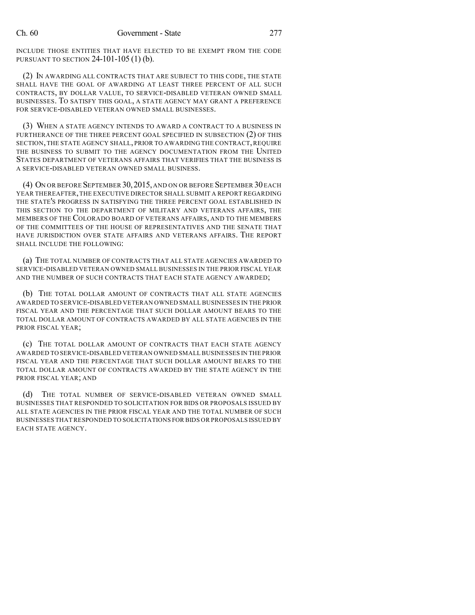INCLUDE THOSE ENTITIES THAT HAVE ELECTED TO BE EXEMPT FROM THE CODE PURSUANT TO SECTION 24-101-105 (1) (b).

(2) IN AWARDING ALL CONTRACTS THAT ARE SUBJECT TO THIS CODE, THE STATE SHALL HAVE THE GOAL OF AWARDING AT LEAST THREE PERCENT OF ALL SUCH CONTRACTS, BY DOLLAR VALUE, TO SERVICE-DISABLED VETERAN OWNED SMALL BUSINESSES. TO SATISFY THIS GOAL, A STATE AGENCY MAY GRANT A PREFERENCE FOR SERVICE-DISABLED VETERAN OWNED SMALL BUSINESSES.

(3) WHEN A STATE AGENCY INTENDS TO AWARD A CONTRACT TO A BUSINESS IN FURTHERANCE OF THE THREE PERCENT GOAL SPECIFIED IN SUBSECTION (2) OF THIS SECTION, THE STATE AGENCY SHALL, PRIOR TO AWARDING THE CONTRACT, REQUIRE THE BUSINESS TO SUBMIT TO THE AGENCY DOCUMENTATION FROM THE UNITED STATES DEPARTMENT OF VETERANS AFFAIRS THAT VERIFIES THAT THE BUSINESS IS A SERVICE-DISABLED VETERAN OWNED SMALL BUSINESS.

(4) ON OR BEFORE SEPTEMBER 30,2015, AND ON OR BEFORE SEPTEMBER 30 EACH YEAR THEREAFTER,THE EXECUTIVE DIRECTOR SHALL SUBMIT A REPORT REGARDING THE STATE'S PROGRESS IN SATISFYING THE THREE PERCENT GOAL ESTABLISHED IN THIS SECTION TO THE DEPARTMENT OF MILITARY AND VETERANS AFFAIRS, THE MEMBERS OF THE COLORADO BOARD OF VETERANS AFFAIRS, AND TO THE MEMBERS OF THE COMMITTEES OF THE HOUSE OF REPRESENTATIVES AND THE SENATE THAT HAVE JURISDICTION OVER STATE AFFAIRS AND VETERANS AFFAIRS. THE REPORT SHALL INCLUDE THE FOLLOWING:

(a) THE TOTAL NUMBER OF CONTRACTS THAT ALL STATE AGENCIES AWARDED TO SERVICE-DISABLED VETERAN OWNED SMALL BUSINESSES IN THE PRIOR FISCAL YEAR AND THE NUMBER OF SUCH CONTRACTS THAT EACH STATE AGENCY AWARDED;

(b) THE TOTAL DOLLAR AMOUNT OF CONTRACTS THAT ALL STATE AGENCIES AWARDED TO SERVICE-DISABLED VETERAN OWNED SMALL BUSINESSES IN THE PRIOR FISCAL YEAR AND THE PERCENTAGE THAT SUCH DOLLAR AMOUNT BEARS TO THE TOTAL DOLLAR AMOUNT OF CONTRACTS AWARDED BY ALL STATE AGENCIES IN THE PRIOR FISCAL YEAR;

(c) THE TOTAL DOLLAR AMOUNT OF CONTRACTS THAT EACH STATE AGENCY AWARDED TO SERVICE-DISABLED VETERAN OWNED SMALL BUSINESSES IN THE PRIOR FISCAL YEAR AND THE PERCENTAGE THAT SUCH DOLLAR AMOUNT BEARS TO THE TOTAL DOLLAR AMOUNT OF CONTRACTS AWARDED BY THE STATE AGENCY IN THE PRIOR FISCAL YEAR; AND

(d) THE TOTAL NUMBER OF SERVICE-DISABLED VETERAN OWNED SMALL BUSINESSES THAT RESPONDED TO SOLICITATION FOR BIDS OR PROPOSALS ISSUED BY ALL STATE AGENCIES IN THE PRIOR FISCAL YEAR AND THE TOTAL NUMBER OF SUCH BUSINESSES THATRESPONDED TO SOLICITATIONS FOR BIDS OR PROPOSALS ISSUED BY EACH STATE AGENCY.